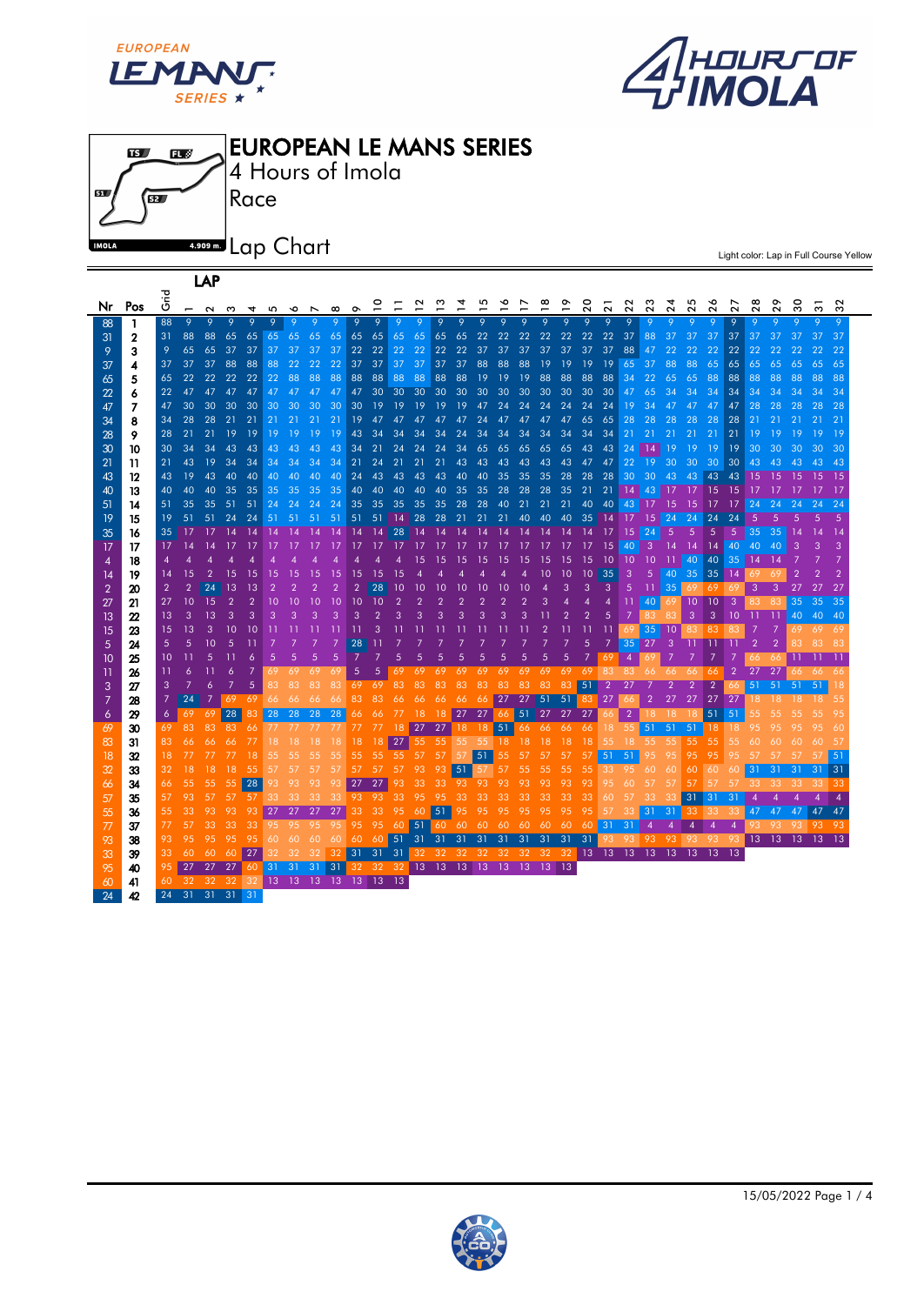

LAP





Light color: Lap in Full Course Yellow

| Nr             | Pos              | ہے۔<br>5       | $\qquad \qquad \blacksquare$ | $\sim$          |                |                |                | ∾              |       | $\infty$             | o               |              |                |           |     |       |                                  |    |     |              |       | ຊ                                | ಸ               | ನ               | $\sim$         | Ñ              | $\tilde{\phantom{a}}$ | Ñ            | $\sim$          | $\sim$          |                | ౢ               | స్        | ೫   |
|----------------|------------------|----------------|------------------------------|-----------------|----------------|----------------|----------------|----------------|-------|----------------------|-----------------|--------------|----------------|-----------|-----|-------|----------------------------------|----|-----|--------------|-------|----------------------------------|-----------------|-----------------|----------------|----------------|-----------------------|--------------|-----------------|-----------------|----------------|-----------------|-----------|-----|
| 88             | $\mathbf{1}$     | 88             | 9                            | 9               | 9              |                |                |                |       |                      | 9               | $\mathsf{Q}$ |                |           |     |       |                                  |    |     | <sub>Q</sub> | 9     | <sub>Q</sub>                     | 9               | 9               |                |                |                       |              |                 |                 |                |                 |           |     |
| 31             | $\mathbf 2$      | 31             | 88                           | 88              | 65             | 65             |                | 65 65          | 65    | 65                   | 65              | 65           | 65             | 65        | 65  | 65    | 22                               | 22 | 22  | 22           | 22    | 22                               | 22              | 37              | 88             | 37             | 37                    | 37           | 37              | 37              | 37             | 37              | 37        | 37  |
| 9              | 3                | 9              | 65                           | 65              | 37             | 37             | 37             | 37             | 37    | 37                   | 22              | 22           | 22             | 22        | 22  | 22    | 37                               | 37 | 37  | 37           | 37    | 37                               | 37              | 88              | 47             | 22             | 22                    | 22           | 22              | 22              | 22             |                 |           | 22  |
| 37             | 4                | 37             | 37                           | 37              | 88             | 88             | 88             | 22             | 22    | 22                   | 37 <sup>2</sup> | 37           | 37             | 37        | 37  | 37    | 88                               | 88 | 88  | 19           | 19    | 19                               | 19              | 65 37           |                | 88             | 88                    | 65           | 65              | 65              | 65             | 65              | 65        | 65  |
| 65             | 5                | 65             | 22                           | 22 <sub>2</sub> |                | 22 22          | 22             | 88             | 88    | 88                   | 88              | 88           | 88             | 88        | 88  | 88    | 19                               | 19 | 19  | 88           | 88    | 88                               | 88              | 34              | 22             | 65             | 65                    | 88           | 88              | 88              | 88             | 88              | 88        | 88  |
| 22             | 6                | 22             | 47                           | 47              | 47             | 47             | 47             | 47             | 47    | 47                   | 47              | 30           | 30             | 30        | 30  | 30    | 30                               | 30 | 30  | 30           | 30    | 30                               | 30              | 47              | 65             | 34             | 34                    | 34           | 34              | 34              | 34             | 34              | 34        | 34  |
| 47             | 7                | 47             | 30                           | 30              | 30             | 30             | 30             | 30             | 30    | 30                   | 30              | 19           | 19             | 19        | 19  | 19    | 47                               | 24 | 24  | 24           | 24    | 24                               | 24              | 19              | 34             | 47             | 47                    | 47           | 47              | 28              | 28             | 28              | 28        | 28  |
| 34             | 8                | 34             | 28                           | 28              | 21             | 21             | 21             | 21             | 21    | 21                   | 19              | 47           | 47             | 47        | 47  | 47    | 24                               | 47 | 47  | 47           | 47    | 65                               | 65              | 28              | 28             | 28             | 28                    | 28           | 28              | 21              | 21             | 21              | 21        | 21  |
| 28             | 9                | 28             | 21                           | 21              | 19             | 19             | 19             | 19             | 19    | 19                   | 43              | 34           | 34             | 34        | 34  | 24    | 34                               | 34 | 34  | 34           | 34    | 34                               | 34              | 21              | 21             | 21             | 21                    | 21           | 21              | 19              | 19             | 19              |           | 19  |
| 30             | 10               | 30             | 34                           | 34              | 43             | 43             | 43             | 43             | 43    | 43                   | 34              | 21           | 24             | 24        | 24  | 34    | 65                               | 65 | 65  | 65           | 65    | 43                               | 43              | 24              | 14             | 19             | 19                    | 19           | 19              | 30              | 30             | 30              | 30        | 30  |
| 21             | 11               | 21             | 43                           | 19              | 34             | 34             | 34             | 34             | 34    | 34                   | 21              | 24           | 21             | 21        | 21  | 43    | 43                               | 43 | 43  | 43           | 43    | 47                               | 47              | 22              | 19             | 30             | 30                    | 30           | 30              | 43              | 43             | 43              | 43        | 43  |
| 43             | 12               | 43             | 19                           | 43              | 40             | 40             | 40             | 40             | 40    | 40                   | 24              | 43           | 43             | 43        | 43  | 40    | 40                               | 35 | 35  | 35           | 28    | 28                               | 28              | 30              | 30             | 43             | 43                    | 43           | 43              | 15              | 15             |                 |           |     |
| 40             | 13               | 40             | 40                           | 40              | 35             | 35             | 35             | 35             | 35    | 35                   | 40              | 40           | 40             | 40        | 40  | 35    | 35                               | 28 | 28  | 28           | 35    | 21                               | 21              | 14              | 43             |                | 17                    | 15           | 15              | 17              |                |                 |           | -17 |
| 51             | 14               | 51             | 35                           | 35              | 51             | 51             | 24             | 24             | 24    | 24                   | 35              | 35           | 35             | 35        | 35  | 28    | 28                               | 40 | 21  | 21           | 21    | 40                               | 40              | 43              | 17             | 15             | 15                    | 17           | 17              | 24              | 24             | 24              | 24        | 24  |
| 19             | 15               | 19             | 51                           | 51              | 24             | 24             | 51             | 51             | 51    | 51                   | 51              | 51           | $ 14\rangle$   | 28        | 28  | 21    | 21                               | 21 | 40  | 40           | 40    | 35                               | 14              | 17              | 15             | 24             | 24                    | 24           | 24              | 5               |                |                 |           |     |
| 35             | 16               | 35             | 17                           | -17             | 14             | 14             | 14             |                |       | 14                   | 14              | 14           | 28             | <b>14</b> | -14 | -14   |                                  |    |     |              |       | 14                               | 17              | 15              | 24             | $\overline{5}$ | 5                     | 5            | -5              | 35              | 35             | $\overline{14}$ | 14        | -14 |
| 17             | 17               | 17             | 14                           | 14              | 17             | 17             |                |                |       | 17                   | 17              | 17           | 17             | 17        |     |       |                                  |    |     |              |       | 17                               | 15              | 40              | 3              | 14             | 14                    | $14 \mid 40$ |                 | 40              | 40             | 3               | 3         | 3   |
| 4              | 18               | $\overline{4}$ |                              |                 |                |                |                |                |       |                      |                 |              | Δ              | 15        | 15  | 15    | 15                               | 15 |     | 15           | 15    | 15                               | $\overline{10}$ | $10$ 10         |                | -11            | 40                    | 40           | 35              | 14              |                |                 |           |     |
| 14             | 19               | 14             | 15                           |                 |                |                |                |                |       |                      |                 | 15           |                |           |     |       |                                  |    |     |              |       | 10                               | 35              | 3               | $\overline{5}$ | 40             | 35                    | 35           | 14              |                 |                |                 |           |     |
| $\overline{2}$ | 20               | $\overline{2}$ | $\overline{2}$               | 24              | 13             | 13             |                |                |       |                      | $\overline{2}$  | 28           | 10             | 10        | 10  | 10    | 10                               | 10 | 10  |              | З     | 3                                | 3               | 5               | -11            | 35             |                       | 69           | -69             | 3               | 3              | 27              | 27        | 27  |
| 27             | 21               | 27             | 10                           | 15              | $\overline{2}$ | $\overline{2}$ | 10             | 10             | 10    | 10                   | 10              | 10           | $\overline{2}$ |           |     |       |                                  |    |     |              |       | 4                                | $\overline{4}$  | 11              | 40             | 69             | 10 <sup>°</sup>       | 10           | 3               | 83              | 83             | 35              | 35        | 35  |
| 13             | $\boldsymbol{z}$ | 13<br>15       | 3<br>13                      | 13<br>3         | 3              | 3              | З              |                |       |                      | З               | З            |                |           |     |       |                                  |    |     |              |       |                                  | 5               | 7<br>69         | -83<br>35      |                | 3                     | 3<br>83      | 10              |                 |                | 40              | 40        | 40  |
| 15             | 23<br>24         | 5              | 5                            | 10              | 10<br>5        | 10<br>11       |                |                |       |                      | -11<br>28       |              |                |           |     |       |                                  |    |     |              |       | 5                                | 7               | 35 <sup>°</sup> | 27             | 10<br>-3       | 83                    |              |                 | 2               | $\overline{2}$ | 69<br>83        | 69<br>-83 | -69 |
| 5              | 25               | 10             |                              | 5               |                | 6              | 5              | 5              | 5     | 5                    |                 |              | 5              | 5         |     |       |                                  |    |     |              | 5     |                                  | 69              | $\overline{4}$  | 69             |                |                       |              |                 |                 |                | 11              |           | -83 |
| 10             | 26               | -11            | 6                            |                 | 6              | 7              | 69             | 69             | 69    | 69                   | 5               | 5            | 69             | 69        | 69  | 69    | 69                               | 69 | 69  | 69           | 69    | 69                               | 83              | -83             | 66             | -66            | -66                   | -66          |                 | 27              | 27             | 66              | -66       | -66 |
| 11<br>3        | 27               | 3              | 7                            | 6               | 7              | 5              | 83             | 83             | 83    | 83                   | 69              | -69          | 83             | 83        | 83  | 83.   | 83                               | 83 | 83  | 83           | 83    | 51                               | 2               | 27              |                |                |                       |              |                 | 51              | 51             | 51              | -51       |     |
| 7              | 28               | $\overline{7}$ | 24                           | 7               |                | 69 69          | -66            | -66            | -66   | -66                  | 83              | 83           | 66.            | 66.       | -66 | -66   | 66                               | 27 | 27  | 51           | 51    | 83                               | 27              |                 |                | 27             | 27                    | 27           | 27              |                 |                | 18              | 18        | 55  |
| 6              | 29               | 6              | -69                          | 69              | 28             | 83             | 28             | 28             |       | $28 \t 28$           | 66              | 66           | 77.            | -18       | -18 | 27    | 27                               | 66 | 51  |              | 27 27 | 27                               | 66              | $\overline{2}$  |                | -18            | -18                   | 51           | 51              |                 |                |                 |           |     |
| 69             | 30               | 69             | 83                           |                 | 83 83          | 66             | $\prime\prime$ | $\prime\prime$ | -77 - | -77                  | 77              | 77           | -18            | 27 27     |     |       | 18 18                            | 51 |     | 66 66 66 66  |       |                                  | 18              | -55             | -51            | 51             | $-51$                 | 18           | -18             | 95              |                |                 |           | 60  |
| 83             | 31               | 83             | 66                           | 66.             | -66            | -77            | 18.            | 18.            | 18.   | 18                   | 18              | 18           | 27             | 55        | 55  |       | 55 55 18 18 18 18                |    |     |              |       | -18                              | 55 <sub>1</sub> | 18 <sup>1</sup> | -55            | -55            | 55                    | 55           | 55              | 60              |                |                 |           |     |
| 18             | 32               | 18             |                              |                 |                |                |                |                |       |                      | 55.             | 55           | 55             | 57        | 57  | 57    | 51                               | 55 | 57  | 57           | 57    | 57                               | 51              | 51              |                |                | 95                    | 95           | 95              |                 |                |                 | 57        | 51  |
| 32             | 33               | 32             | 18                           | 18              | 18             | 55             | 57             |                | 57    | 57                   | 57              | 57           | 57             | 93        | 93  | 51    | 57                               | 57 | 55  | 55           | 55    | 55                               | 33              | -95             | 60             | 60             | 60.                   | 60           | 60              | 31              | 31             | -31             | 31        | 31  |
| 66             | 34               | 66             | 55                           | 55              | 55             | 28             |                |                |       | 93                   | 27              | 27           | 93             | 33        | -33 | 93 93 |                                  | 93 | 93. | 93.          | 93    | 93                               | 95              | 60              |                | 57             |                       |              | 57              |                 |                |                 | -33       | -33 |
| 57             | 35               | 57             | 93                           |                 | 57             | -57            |                |                |       | 33.                  | 93.             | 93.          | 33             | 95        | 95  | 33    | 33                               | 33 | 33  | 33           | 33    | 33                               | 60              |                 |                | 33             | 31                    | -31          | 31              |                 |                |                 |           |     |
| 55             | 36               | 55             | 33                           |                 |                | 93             | 27             | 27             | 27    | 27                   | 33              | 33           |                | 956051    |     | 95    | 95                               | 95 | 95  | 95           | 95    | 95                               | 57              | 33              | 31             | 31             | 33                    | -33          |                 | 47              | 47             | 47              | 47        | 47  |
| 77             | 37               | 77             | 57                           | 33              | 33             | 33             | 95             | 95.            | 95    | -95                  | 95              | 95           |                |           |     |       | 60 51 60 60 60 60 60 60 60       |    |     |              |       | 60                               | 31              | -31             | 4              | 4              | $\boldsymbol{4}$      | 4            | 4               |                 | -93            | 93.             | 93        | -93 |
| 93             | 38               | 93             | 95                           | 95              | 95             |                | 60.            | 60             | 60    | 60                   | 60              | 60           |                |           |     |       | 51 31 31 31 31 31 31 31 31       |    |     |              |       | 31                               |                 |                 |                | 93             | -93-                  | -93          | -93             | 13 <sup>°</sup> | 13             | -13             | 13        | -13 |
| 33             | 39               | 33             | 60                           | 60              | 60             | 27             |                | 32             | 32    | 32                   |                 |              | 31 31 31       |           |     |       |                                  |    |     |              |       | 32 32 32 32 32 32 32 32 13 13 13 |                 |                 | 13             | 13             | 13                    | 13           | $\overline{13}$ |                 |                |                 |           |     |
| 95             | 40               | 95             | 27                           | 27 27           |                | 60             | -31            | $-31$          | 31    | 31                   |                 |              |                |           |     |       | 32 32 32 13 13 13 13 13 13 13 13 |    |     |              |       |                                  |                 |                 |                |                |                       |              |                 |                 |                |                 |           |     |
| 60             | 41               | 60             |                              | 32 32 32        |                | 32             |                |                |       | 13 13 13 13 13 13 13 |                 |              |                |           |     |       |                                  |    |     |              |       |                                  |                 |                 |                |                |                       |              |                 |                 |                |                 |           |     |
| 24             | 42               | 24             | 31                           | $31$ 31 31      |                |                |                |                |       |                      |                 |              |                |           |     |       |                                  |    |     |              |       |                                  |                 |                 |                |                |                       |              |                 |                 |                |                 |           |     |
|                |                  |                |                              |                 |                |                |                |                |       |                      |                 |              |                |           |     |       |                                  |    |     |              |       |                                  |                 |                 |                |                |                       |              |                 |                 |                |                 |           |     |

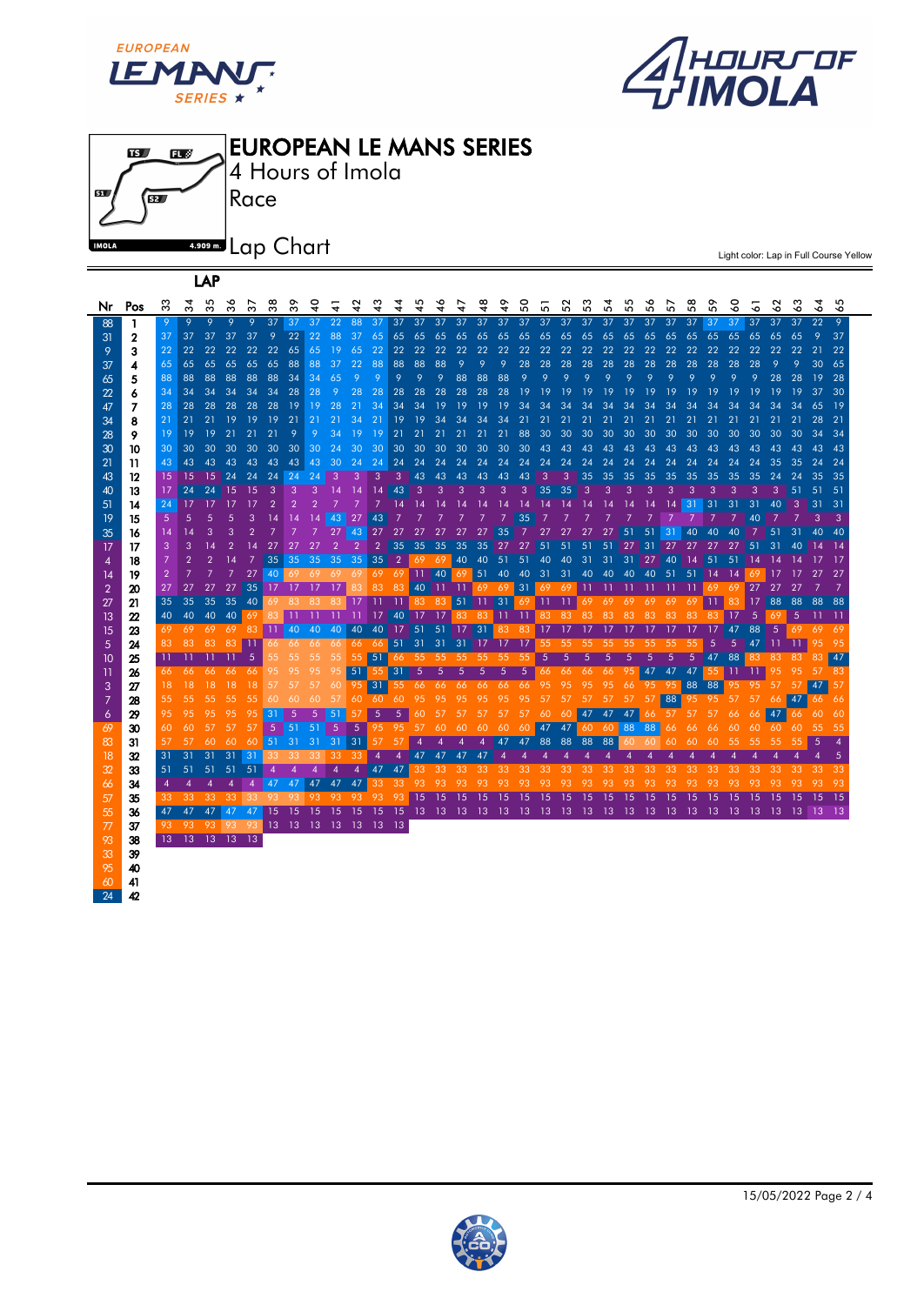

LAP

42





Light color: Lap in Full Course Yellow

| Nr             | Pos              | က်              | ਨੌ                         | Ю<br>က်        | న              | స్    | జ              | ్ల             |                |                      |                |                |            |           |                                  | ₽              | ड़           | ५              | 8              | 5                                      | ន     | 33       | 2      | 55          | 56             | 57              | 38              | s.    | 3               | 5               | 3                  | 3              | 2         | 55          |
|----------------|------------------|-----------------|----------------------------|----------------|----------------|-------|----------------|----------------|----------------|----------------------|----------------|----------------|------------|-----------|----------------------------------|----------------|--------------|----------------|----------------|----------------------------------------|-------|----------|--------|-------------|----------------|-----------------|-----------------|-------|-----------------|-----------------|--------------------|----------------|-----------|-------------|
| 88             | 1                | 9               | 9                          | 9              | 9              | 9     | 37             | 37             | 37             | 22                   | 88             | 37             | 37         | 37        | 37                               | 37             | 37           | 37             | 37             |                                        |       | 37 37 37 | -37    | -37         | -37            | 37              | -37             | 37    | $-37$           | 37              | 37                 | 37             | 22        | 9           |
| 31             | $\mathbf 2$      | 37              | 37 <sup>2</sup>            | 37             | 37             | 37    | 9              | 22             | 22             | 88                   | 37             | 65             | 65         | 65        | 65                               |                |              |                |                | 65 65 65 65 65 65                      |       | 65       | 65     | 65          | 65             | 65              | 65              | 65    | 65              | 65              | 65                 | 65             | 9         | 37          |
| 9              | 3                | 22              | 22                         | 22             | 22             | 22    | 22             | 65             | 65             | 19                   | 65             | 22             | 22         | 22        | 22                               | 22             | 22           | 22             | 22             | 22                                     | 22    | 22       | 22     | 22          | 22             | 22              | 22              | 22    | 22              | 22              | 22                 | 22             | 21        | 22          |
| 37             | 4                | 65              | 65                         | 65             | 65             | 65    | 65             | 88             | 88             | 37                   | 22             | 88             | 88         | 88        | 88                               | 9              | 9            | 9              | 28             | 28                                     | 28    | 28       | 28     | 28          | 28             | 28              | 28              | 28    | 28              | 28              |                    |                | 30        | 65          |
| 65             | 5                | 88              | 88                         | 88             | 88             | 88    | 88             | 34             | 34             | 65                   | 9              | 9              | 9          | 9         | 9                                | 88             | 88           | 88             | 9              | 9                                      | 9     | 9        | 9      | 9           | 9              | 9               | 9               | 9     | 9               | 9               | 28                 | 28             | 19        | 28          |
| 22             | 6                | 34              | 34                         | 34             | 34             | 34    | 34             | 28             | 28             | 9                    | 28             | 28             | 28         | 28        | 28                               | 28             | 28           | 28             | 19             | 19                                     | 19    | 19       | 19     | 19          | 19             | 19              | 19              | 19    | 19              | 19              | 19                 | 19             | 37        | 30          |
| 47             | 7                | 28              | 28                         | 28             | 28             | 28    | 28             | <b>19</b>      | 19             | 28                   | 21             | 34             | 34         | 34        | 19                               | 19             | 19           | 19             | 34             | 34                                     | 34    | 34       | 34     | 34          | 34             |                 |                 |       |                 | 34              | 34                 | 34             | 65        | 19          |
| 34             | 8                | 21              | 21                         | 21             | 19             | 19    | 19             | 21             | 21             | 21                   | 34             | 21             | 19         | 19        | 34                               | 34             | 34           | 34             | 21             | 21                                     | 21    | 21       | 21     | 21          | 21             | 21              | 21              | 21    | 21              | 21              | 21                 | 21             | 28        | 21          |
| 28             | 9                | 19              | 19                         | 19             | 21             | 21    | 21             | 9              | 9              | 34                   | 19             | 19             | 21         | 21        | 21                               | 21             | 21           | 21             | 88             | 30                                     | 30    | 30       | 30     | 30          | 30             | 30              | 30              | 30    | 30              | 30              | 30                 | 30             | 34        | 34          |
| 30             | 10               | 30              | 30                         | 30             | 30             | 30    | 30             | 30             | 30             | 24                   | 30             | 30             | 30         | 30        | 30                               | 30             | 30           | 30             | 30             | 43                                     | 43    | 43       | 43     | 43          | 43             | 43              | 43              | 43    | 43              | 43              | 43                 | 43             | 43        | -43         |
| 21             | 11               | 43              | 43                         | 43             | 43             | 43    | 43             | 43             | 43             | 30                   | 24             | 24             | 24         | 24        | 24                               | 24             | 24           | 24             | 24             | 24                                     | 24    | 24       | 24     | 24          | 24             | 24              | 24              | 24    | 24              | 24              | 35                 | 35             | 24        | 24          |
| 43             | 12               | 15              | 15                         | 15             | 24             | 24    | 24             | 24             | 24             | -3                   | 3              | 3              | 3          | 43        | 43                               | 43             | 43           | 43             | 43             | -3                                     | 3     | 35       | 35     | 35          | 35             | 35              | 35              | 35    | 35              | 35              | 24                 | 24             | 35        | 35          |
| 40             | 13               | 17              | 24                         | 24             | 15             | 15    | -3             | 3              | 3              | 14                   | 14             | 14             | 43         | 3         | 3                                | 3              | $\mathbf{3}$ | 3              | 3              | 35                                     | 35    | 3        | 3      | 3           | 3              | 3               | з               | 3     | 3               | 3               | 3                  | 51             | 51        | 51          |
| 51             | 14               | 24              | 17                         | $-17$          | $-17$          | 17    | $\overline{2}$ | $\overline{2}$ | $\overline{2}$ | 7                    |                | $\overline{7}$ | 14         | 14        | 14                               | 14             | 14           | 14             | 14             | 14                                     | 14    | 14       | 14     | 14          | 14             | 14              | 31              | 31    | 31              | 31              | 40                 | -3             | 31        | 31          |
| 19             | 15               | 5               | 5                          | 5              | 5              | 3     | 14             | 14             | 14             | 43                   | 27             | 43             |            |           | $\overline{7}$                   | $\overline{7}$ | 7            | $\overline{7}$ | 35             |                                        |       |          |        |             | $\overline{7}$ | -7              |                 |       |                 | 40              | -7                 | $\overline{7}$ | 3         | 3           |
| 35             | 16               | 14              | 14                         | 3              |                |       |                |                |                | 27                   | 43             | 27             | 27         | 27        | 27                               | 27             | 27           | 35             |                | 27                                     | 27    | 27       | 27     | 51          | 51             | $\overline{31}$ | 40              | 40    | 40              |                 | 51                 | 31             | 40        |             |
| 17             | 17               | 3               | 3                          | 14             | $\overline{2}$ | 14    | 27             | 27             | 27             | 2                    | $\overline{2}$ | $\overline{2}$ | 35         | 35        | 35                               | 35             | 35           | 27             | 27             | 51                                     | 51    | 51       | 51     | 27          | 31             | 27              | 27              | 27    | 27              | 51              | 31                 | 40             | 14        | $\sqrt{14}$ |
| 4              | 18               | $7\overline{ }$ | $\overline{2}$             | $\overline{2}$ | 14             | 7     | 35             |                |                | 35 35 35 35          |                | $35 \quad 2$   |            |           | 69 69                            |                | 40 40        | 51             | 51             | 40                                     | 40    | 31       | 31     | 31          | 27             | 40              | 14              | 51    | 51              | -14             | 14                 | 14             | -17       | - 17        |
| 14             | 19               | $\overline{2}$  |                            |                |                | 27    | 40             |                |                | 69 69 69 69          |                | 69             | -69        |           | $11 \mid 40 \mid$                | 69             | 51           |                |                | 40 40 31 31                            |       | 40       | 40     | 40          | 40             | 51              | 51              | - 14  | $\overline{14}$ | 69              | -17                | -17            | -27       | -27         |
| $\overline{2}$ | 20               | 27              | 27                         | 27             | 27             |       | 35 17 17       |                | $-17$          | 17                   |                | 83             | 83         |           | 40 11                            | -11            | 696931       |                |                |                                        | 69 69 | 11       | - 11   | - 11        | - 11           | -11             | -11             | -69   | 69              | 27              | 27                 | 27             |           |             |
| 27             | 21               | 35              | 35                         |                | 35 35          | $-40$ | 69             | -83            | 83             | -83                  | 17             | -11            | $11$ 83 83 |           |                                  |                |              |                |                | 51 11 31 69 11 11 69                   |       |          | 69     | 69          | 69             | 69              | 69              | -11-1 | 83              | 17              | 88                 | 88             | 88 88     |             |
| 13             | $\boldsymbol{z}$ |                 | 40 40 40 40 69 83 11       |                |                |       |                |                | -11            | -11 - 11             |                |                |            |           |                                  |                |              |                |                | 17 40 17 17 83 83 11 11 83 83 83       |       |          | 83     | 83          | 83             | 83              | 83              | -83   | 17              | - 5             | 69                 |                | $5$ 11 11 |             |
| 15             | 23               | 69              | 69                         | 69             |                | 69 83 |                |                |                |                      |                |                |            |           | 11 40 40 40 40 40 17 51 51 17 31 |                |              | 83             | -83            | 17 17                                  |       | 17       | - 17   | -17         | -17            |                 | -17             |       | 47              | 88              | 5                  | 69 69          |           | -69         |
| 5              | 24               | 83              | 83                         | 83             | 83             | -11   |                |                |                | 66 66 66 66          | 66 66          |                |            |           | 51 31 31 31 17                   |                |              | 17             | - 17           | -55                                    | -55   | -55      | - 55 - | - 55        | -55            | -55             | 55              |       |                 | 47              | $_{11}$            | -11            | 95        | 95          |
| 10             | 25               | -11             | -11                        | -11            | -11            | -5    | 55             | 55             | 55             | 55                   | 55             | 51             |            |           | 66 55 55 55 55 55 55             |                |              |                |                | $\overline{5}$                         | 5     | 5        | 5      | 5           |                | 5               | 5               | 47    | 88              | 83              | 83                 | 83             | 83        | 47          |
| 11             | 26               | -66             | -66                        | 66 -           |                | 66 66 | 95             | 95             | 95             | 95                   | 51             | 55             | 31         | $\bullet$ | $\sqrt{5}$                       | $\sqrt{5}$     | $\sqrt{5}$   | $5 -$          |                | 5 66 66 66 66                          |       |          |        | 95          | 47             | 47              | 47              |       | $55$ 11         | $\overline{11}$ | 95                 | 95             | 57 83     |             |
| 3              | 27               | 18              | 18 <sup>°</sup>            | 18             | 18             | 18    | 57             | 57             | 57             | 60                   | 95             | 31             | 55         | -66       | 66                               | -66            |              | 66 66 66       |                | 95                                     | 95    | 95       | 95     | 66          | 95             | -95             |                 | 88 88 | 95              | 95              | 57                 | -57            | 47        | 57          |
| 7              | 28               | 55              | 55                         | 55             | 55             | 55    | 60             | 60             | -60            | -57                  | 60             | -60-           | 60         | 95        | 95                               | 95             | 95           | 95             | 95             | 57                                     | 57    | -57      | -57    | 57          | 57             | 88              |                 | 95 95 | -57             | 57              |                    | 66 47          | 66 66     |             |
| 6              | 29               | 95              | 95                         | 95             | 95             | 95    | 31             | 5              | 5              | -51                  | 57             | 5              | 5          | 60        | 57                               | 57             | 57           | 57             | 57             | 60                                     |       | 60 47    | 47     | 47          |                | 66 57           | 57              | 57    | 66              |                 | $66 \overline{47}$ |                | 66 60 60  |             |
| 69             | 30               | 60              | 60                         | 57             | 57             | 57    |                | $5 \mid 51$    | 51             | $5\phantom{.0}$      | $\sqrt{5}$     | 95             | 95         | 57        | 60                               | 60             | 60           | 60             |                | 60 47 47                               |       |          |        | 60 60 88 88 |                | 66              | 66              | 66    | 60              |                 | 60 60              | 60             | $-55$     | 55          |
| 83             | 31               | 57              | 57                         | 60             | 60             |       | 60 51 31       |                | $31 \quad 31$  |                      | 31             | 57             | 57         | 4         | 4                                | 4              |              | 4 47 47 88     |                |                                        | 88    |          | 88 88  |             | 60 60          | 60              | 60              | 60    | 55              | 55              | 55                 | 55             | 5         |             |
| 18             | 32               | 31              | 31                         | 31             | 31             | 31    | 33.            | - 33           | -33            | -33-                 | -33            | $\overline{4}$ |            |           | 47 47 47 47                      |                |              | $\overline{4}$ | $\overline{4}$ | $\overline{4}$                         |       |          |        |             |                |                 |                 |       |                 |                 |                    |                |           |             |
| 32             | 33               | 51              | 51                         | 51             |                | 51 51 | $\overline{4}$ | -4             |                |                      | $\overline{4}$ | 47 47          |            | 33        | 33                               | 33             | 33           | 33             | 33             | 33                                     | 33    | 33       | 33     | 33          | 33             | 33              | 33              | 33    | 33              | 33              | 33                 | 33             | 33        | 33          |
| 66             | 34               | $\overline{4}$  | $\overline{4}$             | $\overline{4}$ | $\overline{4}$ | -4    | 47             | 47             |                | 47 47 47             |                | 33             | -33-       | 93        | 93                               | 93             | 93           | 93             | 93             | 93                                     | 93    | 93       | 93     | 93          | 93             | 93              | 93              | 93    | 93              | 93              | 93                 | 93             | 93        | 93          |
| 57             | 35               | 33              | 33                         | 33             | 33 33          |       | -93-           | -93-           | 93             |                      |                | 93 93 93 93    |            | 15 15     |                                  | 15 15          |              | -15            | -15            | 15                                     | 15    | 15       | 15     | 15          | 15             | 15              | 15              | 15    | 15              | 15              | 15                 | 15             | - 15      | $\sqrt{15}$ |
| 55             | 36               |                 | 47 47 47 47 47             |                |                |       | 15             | -15            | -15            | $-15$                | - 15           |                |            |           |                                  |                |              |                |                | 15 15 13 13 13 13 13 13 13 13 13 13 13 |       |          |        | - 13        | - 13           | - 13            | $\overline{13}$ | - 13  | - 13            | - 13            | - 13               | $13 \mid 13$   |           | - 13        |
| 77             | 37               | 93              |                            | 93 93 93 93    |                |       |                |                |                | 13 13 13 13 13 13 13 |                |                |            |           |                                  |                |              |                |                |                                        |       |          |        |             |                |                 |                 |       |                 |                 |                    |                |           |             |
| 93             | 38               |                 | 13    13    13    13    13 |                |                |       |                |                |                |                      |                |                |            |           |                                  |                |              |                |                |                                        |       |          |        |             |                |                 |                 |       |                 |                 |                    |                |           |             |
| 33             | 39               |                 |                            |                |                |       |                |                |                |                      |                |                |            |           |                                  |                |              |                |                |                                        |       |          |        |             |                |                 |                 |       |                 |                 |                    |                |           |             |
| 95             | 40               |                 |                            |                |                |       |                |                |                |                      |                |                |            |           |                                  |                |              |                |                |                                        |       |          |        |             |                |                 |                 |       |                 |                 |                    |                |           |             |
| 60             | 41               |                 |                            |                |                |       |                |                |                |                      |                |                |            |           |                                  |                |              |                |                |                                        |       |          |        |             |                |                 |                 |       |                 |                 |                    |                |           |             |

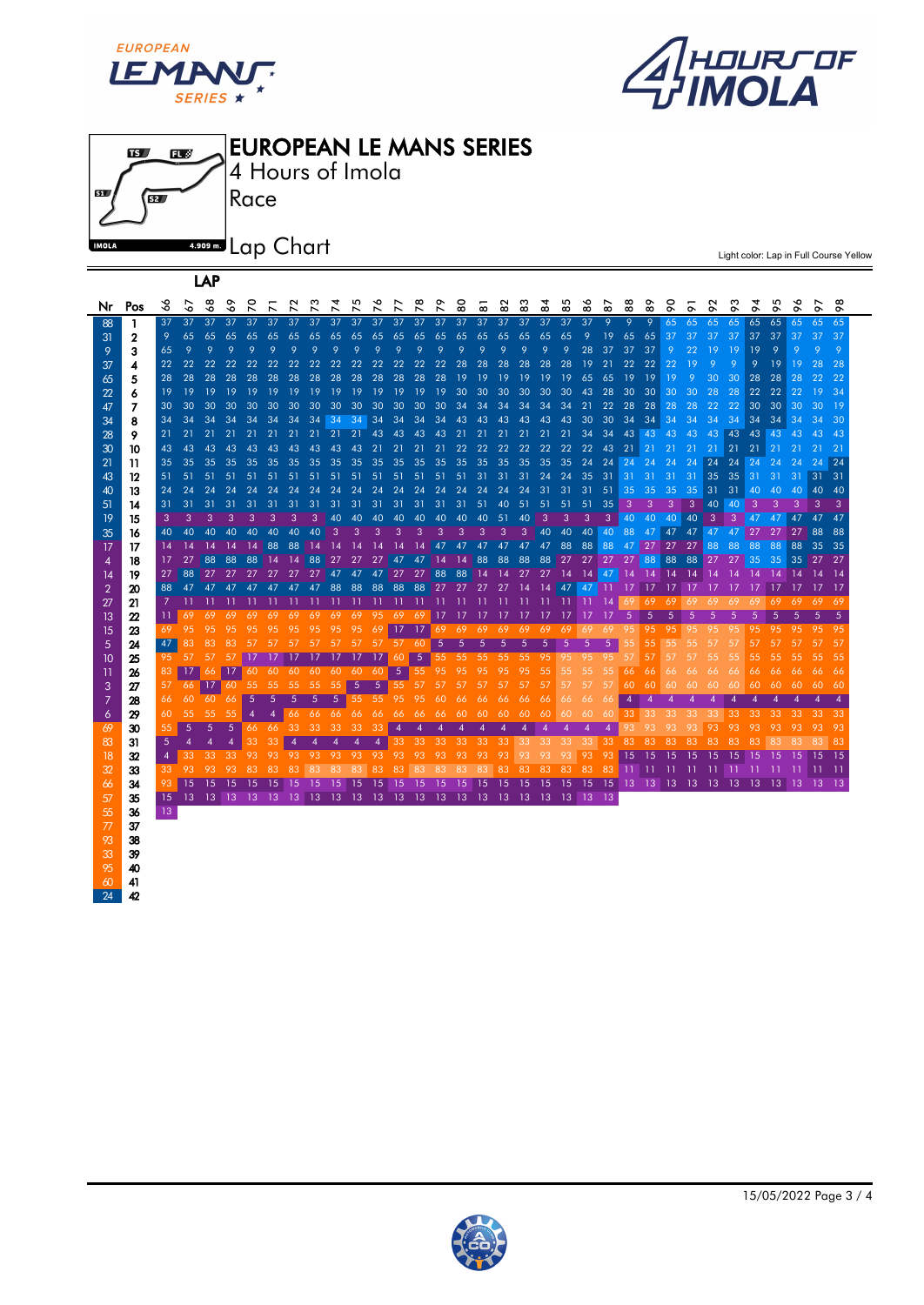





Light color: Lap in Full Course Yellow

| Nr | Pos | ∾              | ∾               | ∘                       | ∾               | ↖               | ↖               |              | ↖           | ↖                                                  | $\overline{\phantom{0}}$ | ∾<br>$\overline{ }$ | $\overline{\phantom{a}}$ | $\overline{\phantom{0}}$ | $\overline{\phantom{0}}$ | ōō          | $\infty$             | $\infty$    | $\infty$        | œ              | ю<br>$\infty$ | $\infty$                                           | $\infty$     | $\infty$        | $\infty$     | $\sigma$        | $\sigma$          | $\sigma$        | ᡐ             | $\sigma$        | ᡐ               | $\sigma$ | ᢆ             | ᡐ              |
|----|-----|----------------|-----------------|-------------------------|-----------------|-----------------|-----------------|--------------|-------------|----------------------------------------------------|--------------------------|---------------------|--------------------------|--------------------------|--------------------------|-------------|----------------------|-------------|-----------------|----------------|---------------|----------------------------------------------------|--------------|-----------------|--------------|-----------------|-------------------|-----------------|---------------|-----------------|-----------------|----------|---------------|----------------|
| 88 | 1   | 37             | 37              | 37                      | -37             | 37              | 37              | 37           | 37          | 37                                                 | 37                       | 37                  | 37                       | 37                       | 37                       | 37          |                      |             |                 | 37 37 37 37 37 |               | -37                                                | - 9 -        | -9.             | - 9          | 65              | 65                | 65              | 65            | 65              | 65              | -65      | -65 -         | -65            |
| 31 | 2   | 9              | 65              | 65                      | 65              | 65              | 65              | 65           | 65          | 65                                                 | 65                       | 65                  | 65                       | 65                       | 65                       | 65          | 65                   | 65          | 65              | 65 65          |               | -9                                                 | 19           | 65              | 65           | 37              | 37                | 37              | 37            | 37              | -37             | 37       | -37           | -37            |
| 9  | 3   | 65             | 9               | 9                       | 9               | $\mathbf Q$     | $\mathsf{Q}$    | $\mathsf{Q}$ | $\mathbf Q$ | $\mathbf Q$                                        | $\mathbf Q$              | $\mathsf Q$         | $\mathsf Q$              | $\mathsf Q$              | 9                        | 9           | 9                    | 9           | 9               | 9              | 9             | 28                                                 | 37           | 37              | 37           | -9              | 22                | 19              | 19            | 19              | 9               | 9        | 9             | $\overline{Q}$ |
| 37 | 4   | 22             | 22              | 22                      | 22 <sub>2</sub> |                 |                 |              |             |                                                    |                          |                     |                          |                          |                          |             |                      |             |                 |                |               | 19                                                 | 21           | 22 22           |              | 22              | -19               | 9               | 9             | 9               | <sup>19</sup>   | 19       | 28            | - 28           |
| 65 | 5   | 28             | 28              | 28                      | 28              | 28              | 28              | 28           | 28          | 28                                                 |                          | 28 28 28 28 28      |                          |                          |                          | -19         | -19                  | 19          | 19              | 19             | 19,65         |                                                    | 65           | 19              | 19           | 19              | -9                | 30              | 30            | 28              | 28              | 28       | 22            | -22            |
| 22 | 6   | 19             | -19             | -19                     | -19             | - 19            | 19              | 19           | 19          | 19                                                 |                          |                     |                          |                          |                          |             |                      |             |                 |                |               | 19 19 19 19 19 30 30 30 30 30 30 43 28 30 30       |              |                 |              | 30 <sup>°</sup> | -30               | 28              | -28           |                 | 22 22           | 22       | <sup>19</sup> | - 34           |
| 47 | 7   | 30             | 30              |                         |                 |                 |                 |              |             |                                                    |                          |                     |                          |                          |                          |             |                      |             |                 |                |               |                                                    | 22           | 28 28 28        |              |                 | $-28$             | 22              | 22            | 30 <sup>°</sup> | 30 30 30 19     |          |               |                |
| 34 | 8   | 34             | 34              | 34                      | -34             | - 34            | - 34            | - 34         | - 34        | 34 34 34 34 34 34 34 43 43 43 43 43 43 30          |                          |                     |                          |                          |                          |             |                      |             |                 |                |               |                                                    | -30          | 34              | $34 \mid 34$ |                 | $-34$             | 34              | 34            | 34              | $34 \mid 34$    |          | - 34          | - 30           |
| 28 | 9   | 21             | 21              | 21                      |                 |                 |                 |              |             | 21 21 21 21 21 21 21 43 43 43 43 21 21             |                          |                     |                          |                          |                          |             |                      | 21          | 21              | 21             | 21            | 34                                                 | 34           | 43 43 43        |              |                 | 43                | 43              | 43            |                 | 43 43 43 43 43  |          |               |                |
| 30 | 10  | 43             | 43              | 43                      | 43              | 43              | 43              |              |             | 43 43 43 43 21 21 21 21                            |                          |                     |                          |                          |                          |             | 22 22                | 22          | 22 <sub>2</sub> | 22             | 22            | 22                                                 | 43           | $21$ 21         |              | -21             | -21               | 21              | 21            | $21$ 21         |                 | -21      | -21           | $-21$          |
| 21 | 11  | 35             | 35              | 35                      | 35              | 35 <sub>1</sub> | 35 <sup>2</sup> |              |             |                                                    |                          |                     |                          |                          |                          |             |                      |             |                 |                |               |                                                    |              |                 |              | 24              | 24                | 24              | -24           |                 |                 | -24      | 24            | 24             |
| 43 | 12  | 51             | 51              | -51                     |                 |                 |                 |              |             | 51 51 51 51 51 51 51 51 51 51 51 51 31 31 31       |                          |                     |                          |                          |                          |             |                      |             |                 |                |               | 24 24 35 31                                        |              | $-31$           | 31           | 31              | 31                | 35 <sup>°</sup> | 35            | $-31$           | -31             | 31       | $31 \quad 31$ |                |
| 40 | 13  | 24             | 24              | 24                      | 24              | 24              | 24              |              |             | 24 24 24 24 24 24 24 24 24 24 24 24 24 31 31 31 51 |                          |                     |                          |                          |                          |             |                      |             |                 |                |               |                                                    |              | 35 <sup>2</sup> | 35           | 35              | 35 <sub>1</sub>   | 31              | $-31$         | 40              | -40             | -40      | 40 40         |                |
| 51 | 14  | 31             | 31              | -31                     | -31             | 31              | 31              | -31          |             | 31 31 31 31 31 31 31 31 51 40 51 51                |                          |                     |                          |                          |                          |             |                      |             |                 |                | 51            | 51                                                 | 35           | $\mathbf{3}$    | -3.          | 3               | 3 <sup>1</sup>    | 40              | <sup>40</sup> | 3               | 3               | 3        | 3             | -3             |
| 19 | 15  | 3              | 3               | 3                       | 3               | 3               | 3               | 3            | 3           | 40                                                 | 40                       | 40                  | 40                       | 40                       | 40                       | 40          |                      | 40 51       | 40 <sup>1</sup> | $\mathbf{3}$   | 3             | -3                                                 | -3           | 40              | 40           | 40              | 40                | -3              | 3             | 47              | 47              | 47       | 47            | - 47           |
| 35 | 16  | 40             | 40              | 40                      | 40              | 40              | 40              | 40           | 40          | 3                                                  | 3                        | 3                   | 3                        | 3                        | 3                        | 3           | 3                    | 3           | 3               |                | 40 40 40      |                                                    | $ 40\rangle$ | 88              | 47           | 47              | 47                | 47              | 47            | 27              | 27              | 27       | 88            | -88            |
| 17 | 17  | 14             | 14              | 14                      | 14              | -14             | 88              | 88           |             | 14 14                                              | 14                       | <b>14</b>           | -14                      |                          |                          |             | 14 47 47 47 47 47 47 |             |                 |                |               | 88 88                                              | 88           | 47              | 27           | 27              | - 27              | 88              | 88            | 88              | 88              | 88       | 35 35         |                |
| 4  | 18  | 17             | 27              | 88                      | 88              | 88              | l 14            |              |             | 14 88 27 27                                        |                          | 27                  |                          | 47 47 14 14              |                          |             | 88                   | 88          |                 |                |               | 88 88 27 27 27 27 88                               |              |                 |              |                 | 88 88             |                 | 27 27 35      |                 | 35 <sub>1</sub> |          | 35 27 27      |                |
| 14 | 19  | 27             | 88              |                         |                 |                 |                 |              |             |                                                    |                          |                     |                          |                          |                          |             |                      |             |                 |                |               |                                                    |              |                 |              |                 | - 14              | $\overline{14}$ | 14            | 14              | - 14            | 14       | $\sqrt{14}$   | - 14           |
| 2  | 20  | 88             |                 |                         |                 |                 |                 |              |             | 47 47 47 47 47 47 47 88 88 88 88 88 27 27 27 27 14 |                          |                     |                          |                          |                          |             |                      |             |                 |                |               | 14 47 47 11 17                                     |              |                 | 17           | - 17            | $\blacksquare$ 17 | -17             | $-17$         | -17             | 17 <sup>7</sup> | 17 17 17 |               |                |
| 27 | 21  | 7              |                 |                         |                 |                 |                 |              |             |                                                    |                          |                     |                          |                          |                          |             |                      |             |                 |                |               |                                                    |              |                 | 69           | -69             | 69                | 69              | 69            | 69              | 69              | 69       | 69 69         |                |
| 13 | 22  | -11            | 69              |                         |                 |                 |                 |              |             | 69 69 69 69 69 69 69 69 95 69 69 17 17 17 17 17 17 |                          |                     |                          |                          |                          |             |                      |             |                 |                | - 17          | -17                                                | -17          | -5              | 5            | 5               | 5                 | 5.              | 5             | 5               | 5               | 5        | 5             | 5              |
| 15 | 23  | 69             |                 |                         |                 |                 |                 |              |             | 95 95 95 95 95 95 95 95 95                         |                          | 69                  |                          | $ 17 \t17 \t1$           |                          |             | 69 69 69 69 69 69    |             |                 |                | -69           | 69                                                 | 69           | 95              | 95           | -95             | 95                | 95              | 95            | 95              | 95              | 95       | -95           | - 95           |
| 5  | 24  | 47             | 83              |                         |                 |                 |                 |              |             | 83 83 57 57 57 57 57 57                            |                          |                     |                          | 57 57 60                 |                          | $5 \quad 5$ |                      | $5 \quad 5$ | - 5             | -5             | 5             | 5                                                  | 5            | 55              | 55           | 55              | 55                | 57              | -57           | 57              | 57              | 57       | -57           | 57             |
| 10 | 25  |                | 95 57           |                         |                 |                 |                 |              |             | 57 57 17 17 17 17 17 17                            |                          | 17 <sup>1</sup>     | $60 \quad 5$             |                          |                          |             | 55 55 55 55 55 95 95 |             |                 |                |               | -95                                                | 95           | -57             | 57           | 57              | 57                | 55              | 55            | 55              | 55              | 55       | -55           | -55            |
| 11 | 26  | 83             | 17 <sup>1</sup> |                         | 66 17           |                 |                 |              |             | 60 60 60 60 60 60                                  |                          | -60                 | -5                       |                          | 55 95                    | 95          | 95                   | 95          | 95              | 55             | 55            | 55                                                 | 55           | 66              | 66           | 66              | -66               | 66              | 66            | 66              | 66              | 66       | -66           | -66            |
| 3  | 27  | 57             |                 | 66 17 60 55 55 55 55 55 |                 |                 |                 |              |             |                                                    | 5                        | .5                  |                          | 55 57                    | 57                       | 57          | -57                  | 57          | 57              | 57             | 57            | 57                                                 | 57           | 60              | 60           | 60              | 60                | 60              | 60            | -60             | -60             | -60      | -60           | -60            |
| 7  | 28  | 66.            | 60              | -60 -                   | 66 <sup>1</sup> | -5              | $\sqrt{5}$      | $\sqrt{5}$   | -5          | - 5                                                |                          | 55 55 95 95         |                          |                          | 60                       | 66          | 66                   | -66         | -66             | -66            | 66            | 66                                                 | 66           | 4               |              |                 |                   |                 |               |                 |                 |          | 4             | 4              |
| 6  | 29  | 60             | 55              | 55                      | 55              |                 |                 | 66           | -66         | 66 66                                              |                          | 66                  | 66                       | 66                       | 66                       | 60          | 60                   | -60         | -60             | 60             | 60            | 60                                                 | 60           | -33             | 33           | 33              | 33                | 33              | 33            | 33              | 33              | 33       | -33-          | -33            |
| 69 | 30  | 55             | 5               | 5                       | 5               | -66             | -66             | 33           | 33          | 33                                                 | 33                       | 33                  | $\overline{4}$           |                          |                          |             | 4                    | 4           |                 | 4              | A             | 4                                                  |              |                 |              | 93              | 93                | 93              | 93            | 93              | 93              |          | 93            | 93             |
| 83 | 31  | $\sqrt{5}$     |                 |                         |                 | 33              |                 |              |             |                                                    |                          |                     | 33                       | 33                       | 33                       | 33          | 33                   | -33         | 33              | -33-           | -33-          | -33                                                | 33           | -83             | 83           | 83              | 83                | 83              | 83            | 83              | 83              | 83       | 83            | -83            |
| 18 | 32  | $\overline{4}$ | 33              | 33                      | 33              | 93              | 93              | 93           | 93          | 93                                                 | 93                       | 93                  | 93                       | 93                       | 93                       | 93          | 93                   | 93          | 93              | 93             | 93            | 93                                                 | 93           | 15              | 15           | <sup>15</sup>   | 15                | 15              | 15            | 15              | 15              | 15       | <sup>15</sup> | - 15           |
| 32 | 33  | 33             | 93.             | 93                      | -93-            | -83-            | -83             | 83           | 83          | 83                                                 | 83                       | 83                  | 83                       | 83                       | 83                       | 83          | 83                   | 83          | -83             | -83            | -83           | 83                                                 | 83           | - 11            | 11           | - 11            | - 11              | -11-11          |               | -11             | - 11            |          |               |                |
| 66 | 34  | 93             | 15              | 15                      | 15              | 15              | -15             | 15           | 15          | 15                                                 | -15                      | 15                  | -15                      | 15                       | 15                       | 15          | 15                   | 15          |                 |                |               | 15 15 15 15 15 13 13 13 13 13 13 13 13 13 13 13 13 |              |                 |              |                 |                   |                 |               |                 |                 |          |               |                |
| 57 | 35  |                |                 |                         |                 |                 |                 |              |             |                                                    |                          |                     |                          |                          |                          |             |                      |             |                 |                |               |                                                    |              |                 |              |                 |                   |                 |               |                 |                 |          |               |                |
| 55 | 36  | 13             |                 |                         |                 |                 |                 |              |             |                                                    |                          |                     |                          |                          |                          |             |                      |             |                 |                |               |                                                    |              |                 |              |                 |                   |                 |               |                 |                 |          |               |                |
| 77 | 37  |                |                 |                         |                 |                 |                 |              |             |                                                    |                          |                     |                          |                          |                          |             |                      |             |                 |                |               |                                                    |              |                 |              |                 |                   |                 |               |                 |                 |          |               |                |